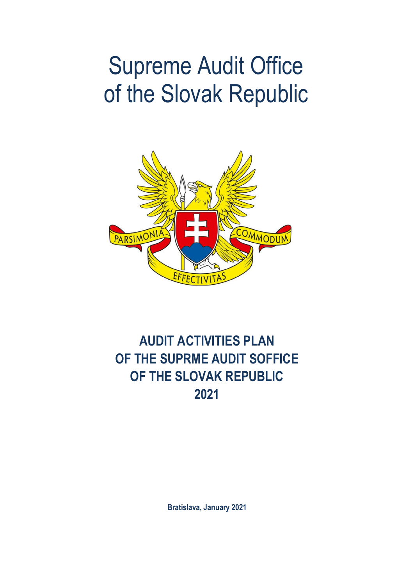# Supreme Audit Office of the Slovak Republic



# **AUDIT ACTIVITIES PLAN OF THE SUPRME AUDIT SOFFICE OF THE SLOVAK REPUBLIC 2021**

**Bratislava, January 2021**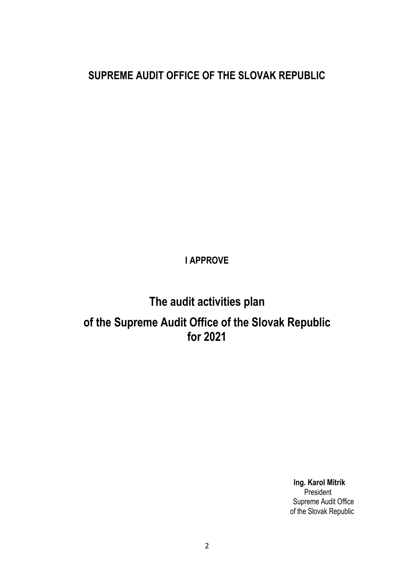### **SUPREME AUDIT OFFICE OF THE SLOVAK REPUBLIC**

**I APPROVE**

## **The audit activities plan of the Supreme Audit Office of the Slovak Republic for 2021**

 **Ing. Karol Mitrík** en de la provincia de la provincia de la provincia de la provincia de la provincia de la provincia de la provi Supreme Audit Office of the Slovak Republic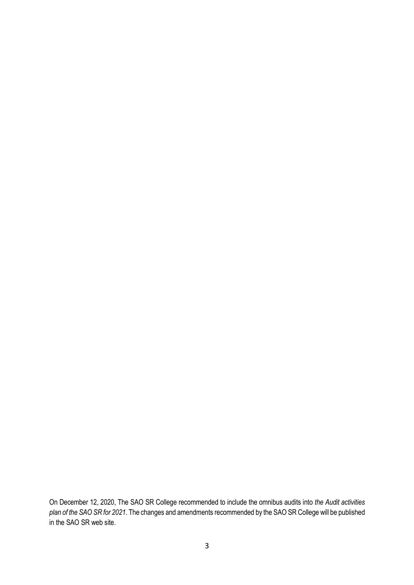On December 12, 2020, The SAO SR College recommended to include the omnibus audits into *the Audit activities plan of the SAO SR for 2021*. The changes and amendments recommended by the SAO SR College will be published in the SAO SR web site.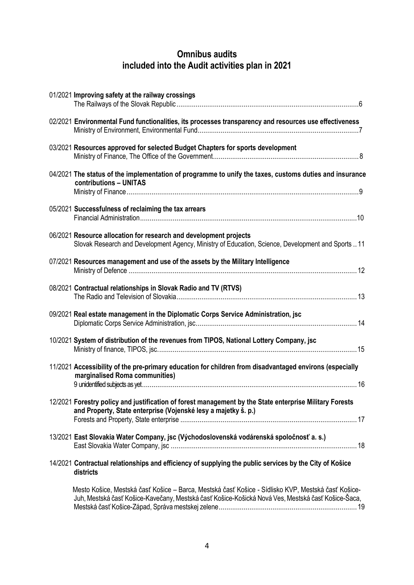### **Omnibus audits included into the Audit activities plan in 2021**

| 01/2021 Improving safety at the railway crossings                                                                                                                                                         |
|-----------------------------------------------------------------------------------------------------------------------------------------------------------------------------------------------------------|
| 02/2021 Environmental Fund functionalities, its processes transparency and resources use effectiveness                                                                                                    |
| 03/2021 Resources approved for selected Budget Chapters for sports development                                                                                                                            |
| 04/2021 The status of the implementation of programme to unify the taxes, customs duties and insurance<br>contributions - UNITAS                                                                          |
| 05/2021 Successfulness of reclaiming the tax arrears                                                                                                                                                      |
| 06/2021 Resource allocation for research and development projects<br>Slovak Research and Development Agency, Ministry of Education, Science, Development and Sports11                                     |
| 07/2021 Resources management and use of the assets by the Military Intelligence                                                                                                                           |
| 08/2021 Contractual relationships in Slovak Radio and TV (RTVS)                                                                                                                                           |
| 09/2021 Real estate management in the Diplomatic Corps Service Administration, jsc                                                                                                                        |
| 10/2021 System of distribution of the revenues from TIPOS, National Lottery Company, jsc                                                                                                                  |
| 11/2021 Accessibility of the pre-primary education for children from disadvantaged environs (especially<br>marginalised Roma communities)                                                                 |
| 12/2021 Forestry policy and justification of forest management by the State enterprise Military Forests<br>and Property, State enterprise (Vojenské lesy a majetky š. p.)                                 |
| 13/2021 East Slovakia Water Company, jsc (Východoslovenská vodárenská spoločnosť a. s.)                                                                                                                   |
| 14/2021 Contractual relationships and efficiency of supplying the public services by the City of Košice<br>districts                                                                                      |
| Mesto Košice, Mestská časť Košice – Barca, Mestská časť Košice - Sídlisko KVP, Mestská časť Košice-<br>Juh, Mestská časť Košice-Kavečany, Mestská časť Košice-Košická Nová Ves, Mestská časť Košice-Šaca, |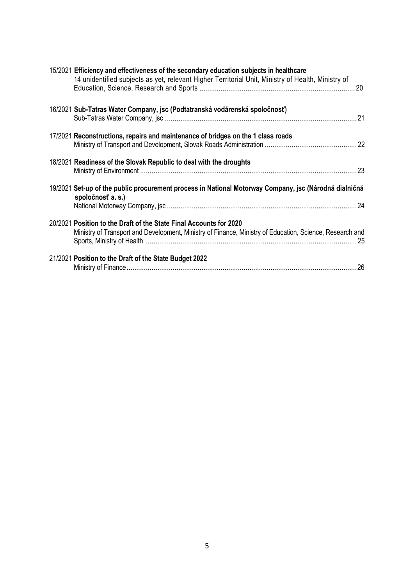| 15/2021 Efficiency and effectiveness of the secondary education subjects in healthcare<br>14 unidentified subjects as yet, relevant Higher Territorial Unit, Ministry of Health, Ministry of |
|----------------------------------------------------------------------------------------------------------------------------------------------------------------------------------------------|
| 16/2021 Sub-Tatras Water Company, jsc (Podtatranská vodárenská spoločnosť)                                                                                                                   |
| 17/2021 Reconstructions, repairs and maintenance of bridges on the 1 class roads                                                                                                             |
| 18/2021 Readiness of the Slovak Republic to deal with the droughts                                                                                                                           |
| 19/2021 Set-up of the public procurement process in National Motorway Company, jsc (Národná dialničná<br>spoločnosť a. s.)                                                                   |
| 20/2021 Position to the Draft of the State Final Accounts for 2020<br>Ministry of Transport and Development, Ministry of Finance, Ministry of Education, Science, Research and               |
| 21/2021 Position to the Draft of the State Budget 2022                                                                                                                                       |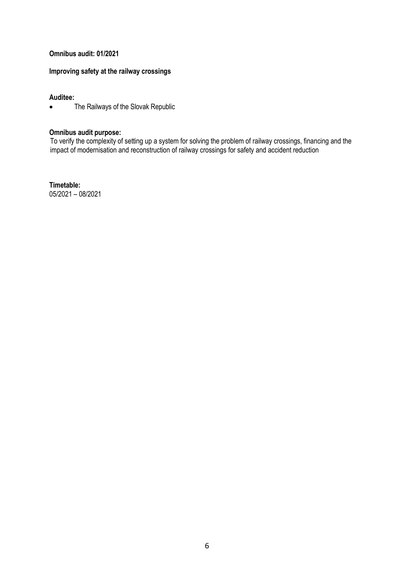#### **Omnibus audit: 01/2021**

#### **Improving safety at the railway crossings**

#### **Auditee:**

• The Railways of the Slovak Republic

#### **Omnibus audit purpose:**

To verify the complexity of setting up a system for solving the problem of railway crossings, financing and the impact of modernisation and reconstruction of railway crossings for safety and accident reduction

**Timetable:** 05/2021 – 08/2021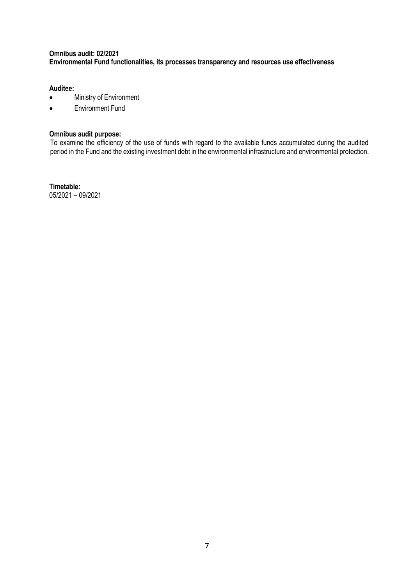#### **Omnibus audit: 02/2021 Environmental Fund functionalities, its processes transparency and resources use effectiveness**

#### **Auditee:**

- Ministry of Environment
- Environment Fund

#### **Omnibus audit purpose:**

To examine the efficiency of the use of funds with regard to the available funds accumulated during the audited period in the Fund and the existing investment debt in the environmental infrastructure and environmental protection.

**Timetable:** 05/2021 – 09/2021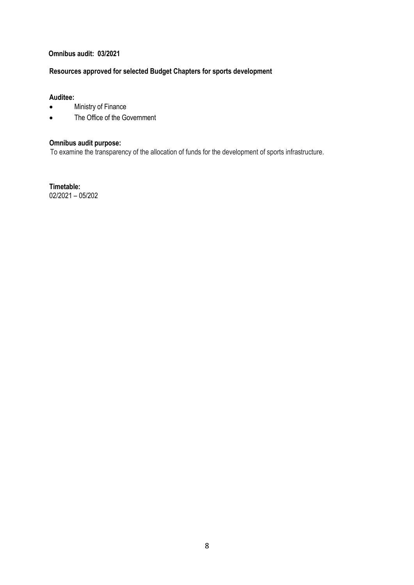#### **Omnibus audit: 03/2021**

#### **Resources approved for selected Budget Chapters for sports development**

#### **Auditee:**

- Ministry of Finance
- The Office of the Government

#### **Omnibus audit purpose:**

To examine the transparency of the allocation of funds for the development of sports infrastructure.

**Timetable:** 02/2021 – 05/202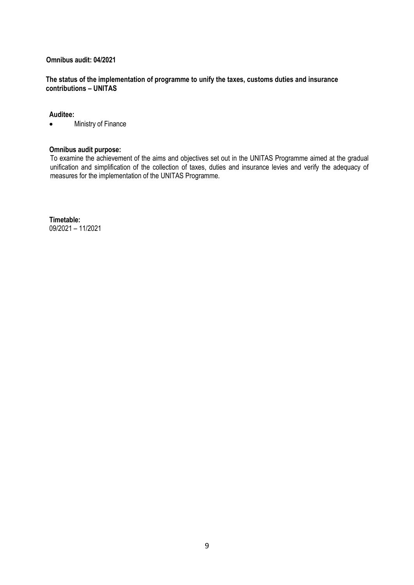#### **Omnibus audit: 04/2021**

#### **The status of the implementation of programme to unify the taxes, customs duties and insurance contributions – UNITAS**

#### **Auditee:**

• Ministry of Finance

#### **Omnibus audit purpose:**

To examine the achievement of the aims and objectives set out in the UNITAS Programme aimed at the gradual unification and simplification of the collection of taxes, duties and insurance levies and verify the adequacy of measures for the implementation of the UNITAS Programme.

**Timetable:** 09/2021 – 11/2021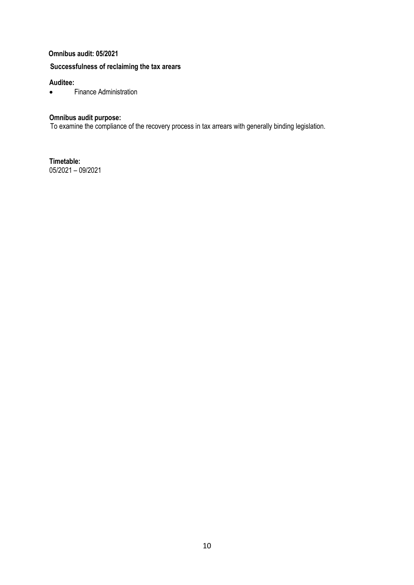#### **Omnibus audit: 05/2021**

#### **Successfulness of reclaiming the tax arears**

#### **Auditee:**

Finance Administration

#### **Omnibus audit purpose:**

To examine the compliance of the recovery process in tax arrears with generally binding legislation.

**Timetable:** 05/2021 – 09/2021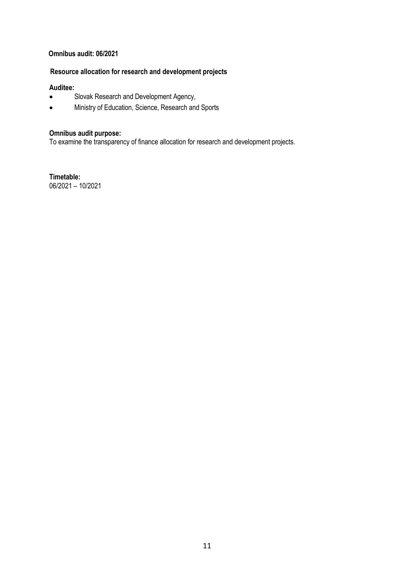#### **Omnibus audit: 06/2021**

#### **Resource allocation for research and development projects**

#### **Auditee:**

- Slovak Research and Development Agency,
- Ministry of Education, Science, Research and Sports

#### **Omnibus audit purpose:**

To examine the transparency of finance allocation for research and development projects.

**Timetable:** 06/2021 – 10/2021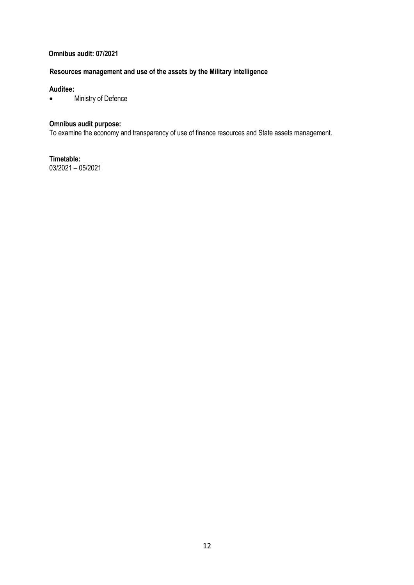#### **Omnibus audit: 07/2021**

#### **Resources management and use of the assets by the Military intelligence**

#### **Auditee:**

Ministry of Defence

#### **Omnibus audit purpose:**

To examine the economy and transparency of use of finance resources and State assets management.

**Timetable:** 03/2021 – 05/2021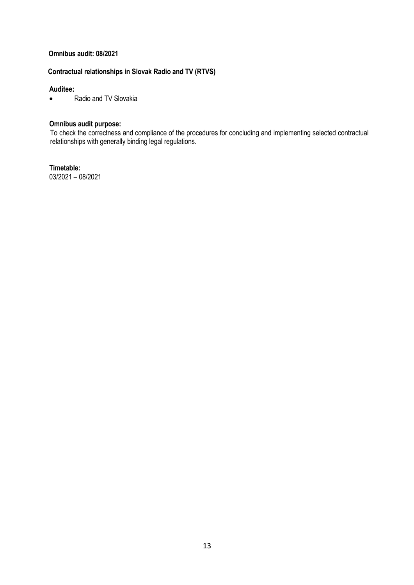#### **Omnibus audit: 08/2021**

### **Contractual relationships in Slovak Radio and TV (RTVS)**

#### **Auditee:**

Radio and TV Slovakia

#### **Omnibus audit purpose:**

To check the correctness and compliance of the procedures for concluding and implementing selected contractual relationships with generally binding legal regulations.

**Timetable:** 03/2021 – 08/2021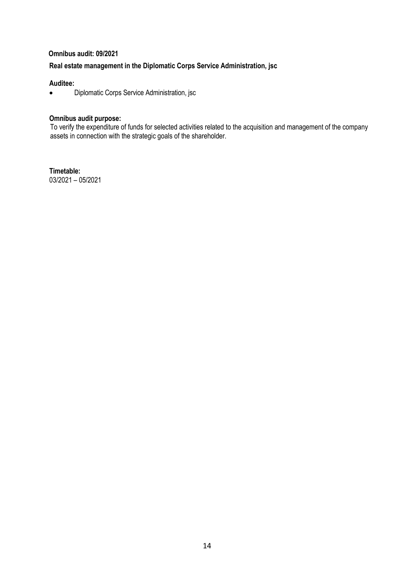#### **Omnibus audit: 09/2021**

#### **Real estate management in the Diplomatic Corps Service Administration, jsc**

#### **Auditee:**

**•** Diplomatic Corps Service Administration, jsc

#### **Omnibus audit purpose:**

To verify the expenditure of funds for selected activities related to the acquisition and management of the company assets in connection with the strategic goals of the shareholder.

**Timetable:** 03/2021 – 05/2021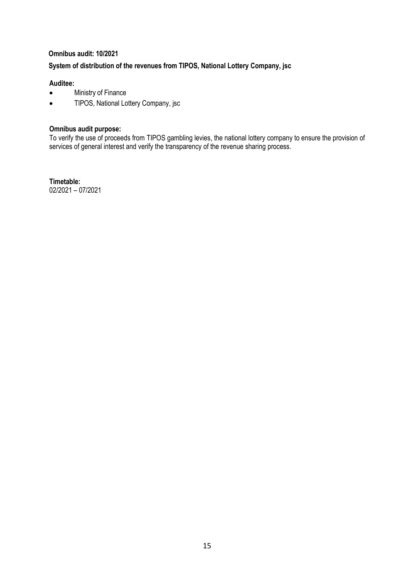#### **Omnibus audit: 10/2021**

#### **System of distribution of the revenues from TIPOS, National Lottery Company, jsc**

#### **Auditee:**

- Ministry of Finance
- TIPOS, National Lottery Company, jsc

#### **Omnibus audit purpose:**

To verify the use of proceeds from TIPOS gambling levies, the national lottery company to ensure the provision of services of general interest and verify the transparency of the revenue sharing process.

**Timetable:** 02/2021 – 07/2021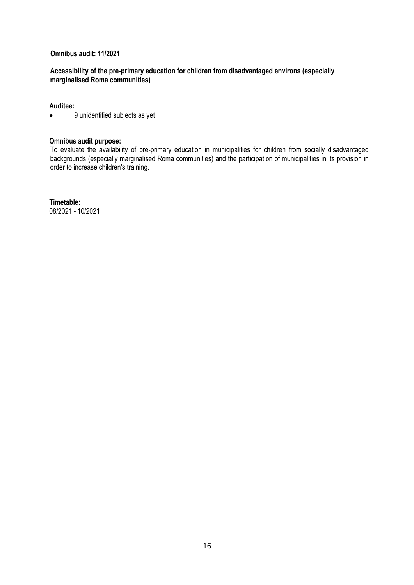#### **Omnibus audit: 11/2021**

#### **Accessibility of the pre-primary education for children from disadvantaged environs (especially marginalised Roma communities)**

#### **Auditee:**

9 unidentified subjects as yet

#### **Omnibus audit purpose:**

To evaluate the availability of pre-primary education in municipalities for children from socially disadvantaged backgrounds (especially marginalised Roma communities) and the participation of municipalities in its provision in order to increase children's training.

**Timetable:** 08/2021 - 10/2021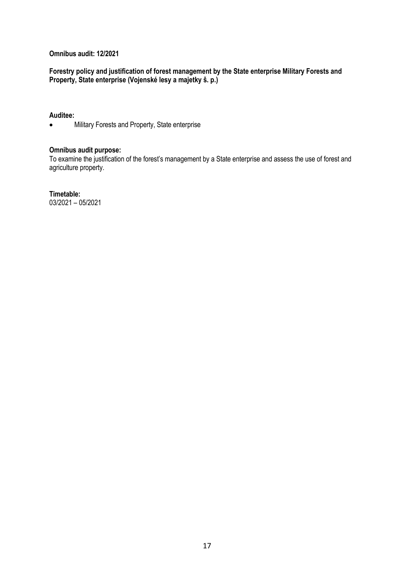#### **Omnibus audit: 12/2021**

**Forestry policy and justification of forest management by the State enterprise Military Forests and Property, State enterprise (Vojenské lesy a majetky š. p.)**

#### **Auditee:**

• Military Forests and Property, State enterprise

#### **Omnibus audit purpose:**

To examine the justification of the forest's management by a State enterprise and assess the use of forest and agriculture property.

**Timetable:** 03/2021 – 05/2021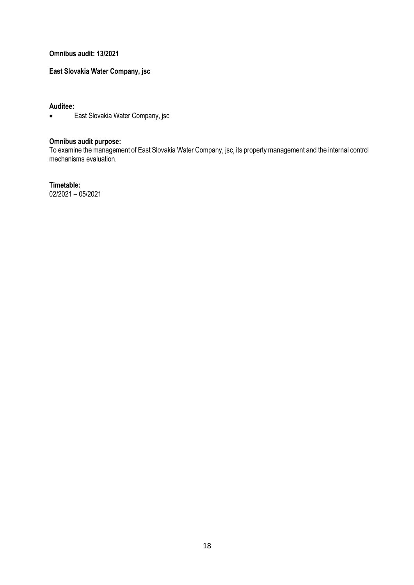**Omnibus audit: 13/2021**

**East Slovakia Water Company, jsc** 

**Auditee:**

East Slovakia Water Company, jsc

#### **Omnibus audit purpose:**

To examine the management of East Slovakia Water Company, jsc, its property management and the internal control mechanisms evaluation.

**Timetable:**

02/2021 – 05/2021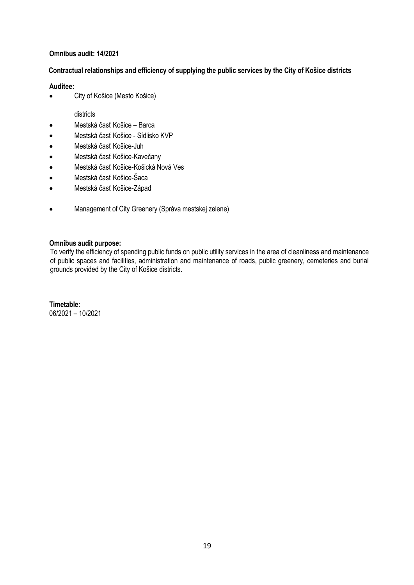#### **Omnibus audit: 14/2021**

#### **Contractual relationships and efficiency of supplying the public services by the City of Košice districts**

#### **Auditee:**

City of Košice (Mesto Košice)

#### districts

- Mestská časť Košice Barca
- Mestská časť Košice Sídlisko KVP
- Mestská časť Košice-Juh
- Mestská časť Košice-Kavečany
- Mestská časť Košice-Košická Nová Ves
- Mestská časť Košice-Šaca
- Mestská časť Košice-Západ
- Management of City Greenery (Správa mestskej zelene)

#### **Omnibus audit purpose:**

To verify the efficiency of spending public funds on public utility services in the area of cleanliness and maintenance of public spaces and facilities, administration and maintenance of roads, public greenery, cemeteries and burial grounds provided by the City of Košice districts.

**Timetable:** 06/2021 – 10/2021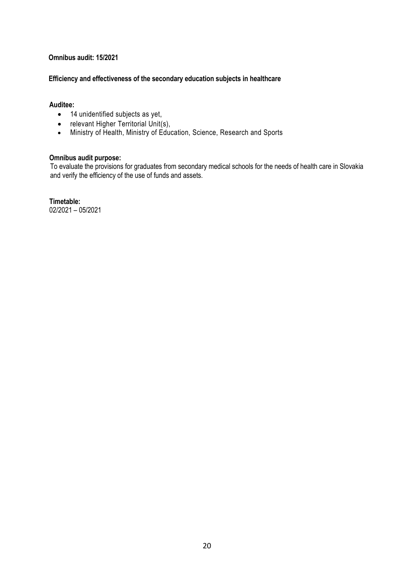#### **Omnibus audit: 15/2021**

#### **Efficiency and effectiveness of the secondary education subjects in healthcare**

#### **Auditee:**

- 14 unidentified subjects as yet,
- relevant Higher Territorial Unit(s),
- Ministry of Health, Ministry of Education, Science, Research and Sports

#### **Omnibus audit purpose:**

To evaluate the provisions for graduates from secondary medical schools for the needs of health care in Slovakia and verify the efficiency of the use of funds and assets.

**Timetable:** 02/2021 – 05/2021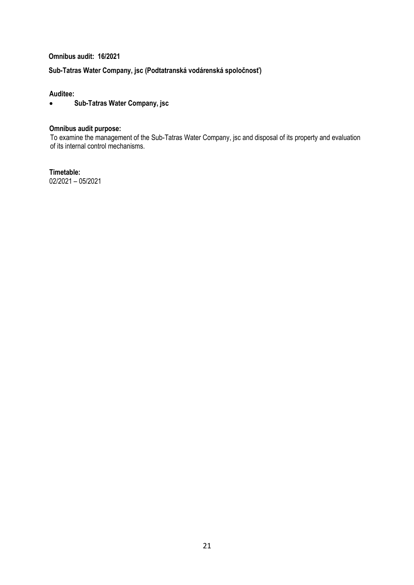**Omnibus audit: 16/2021**

#### **Sub-Tatras Water Company, jsc (Podtatranská vodárenská spoločnosť)**

#### **Auditee:**

**Sub-Tatras Water Company, jsc**

#### **Omnibus audit purpose:**

To examine the management of the Sub-Tatras Water Company, jsc and disposal of its property and evaluation of its internal control mechanisms.

**Timetable:** 02/2021 – 05/2021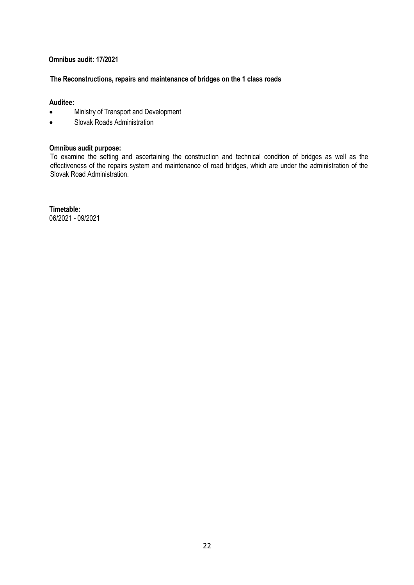#### **Omnibus audit: 17/2021**

#### **The Reconstructions, repairs and maintenance of bridges on the 1 class roads**

#### **Auditee:**

- Ministry of Transport and Development
- Slovak Roads Administration

#### **Omnibus audit purpose:**

To examine the setting and ascertaining the construction and technical condition of bridges as well as the effectiveness of the repairs system and maintenance of road bridges, which are under the administration of the Slovak Road Administration.

**Timetable:** 06/2021 - 09/2021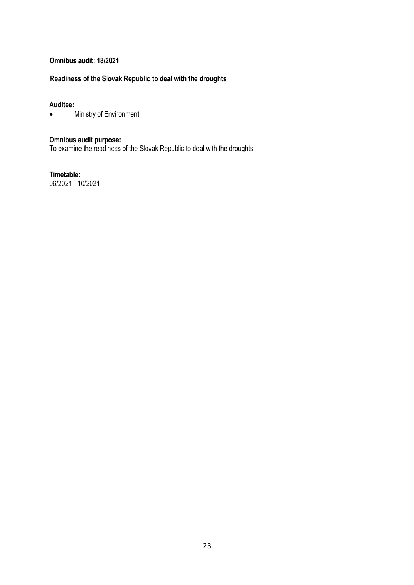#### **Omnibus audit: 18/2021**

#### **Readiness of the Slovak Republic to deal with the droughts**

# **Auditee:**

Ministry of Environment

#### **Omnibus audit purpose:**

To examine the readiness of the Slovak Republic to deal with the droughts

**Timetable:** 06/2021 - 10/2021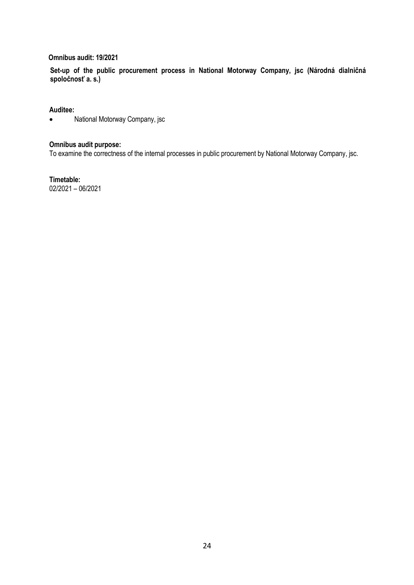#### **Omnibus audit: 19/2021**

**Set-up of the public procurement process in National Motorway Company, jsc (Národná dialničná spoločnosť a. s.)**

#### **Auditee:**

National Motorway Company, jsc

#### **Omnibus audit purpose:**

To examine the correctness of the internal processes in public procurement by National Motorway Company, jsc.

**Timetable:** 02/2021 – 06/2021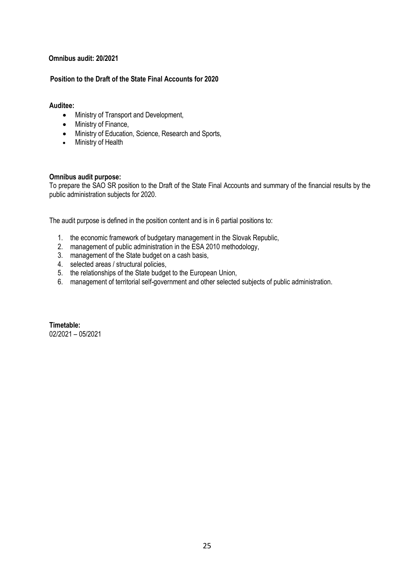#### **Omnibus audit: 20/2021**

#### **Position to the Draft of the State Final Accounts for 2020**

#### **Auditee:**

- Ministry of Transport and Development,
- Ministry of Finance,
- Ministry of Education, Science, Research and Sports,
- Ministry of Health

#### **Omnibus audit purpose:**

To prepare the SAO SR position to the Draft of the State Final Accounts and summary of the financial results by the public administration subjects for 2020.

The audit purpose is defined in the position content and is in 6 partial positions to:

- 1. the economic framework of budgetary management in the Slovak Republic,
- 2. management of public administration in the ESA 2010 methodology,
- 3. management of the State budget on a cash basis,
- 4. selected areas / structural policies,
- 5. the relationships of the State budget to the European Union,
- 6. management of territorial self-government and other selected subjects of public administration.

**Timetable:** 02/2021 – 05/2021